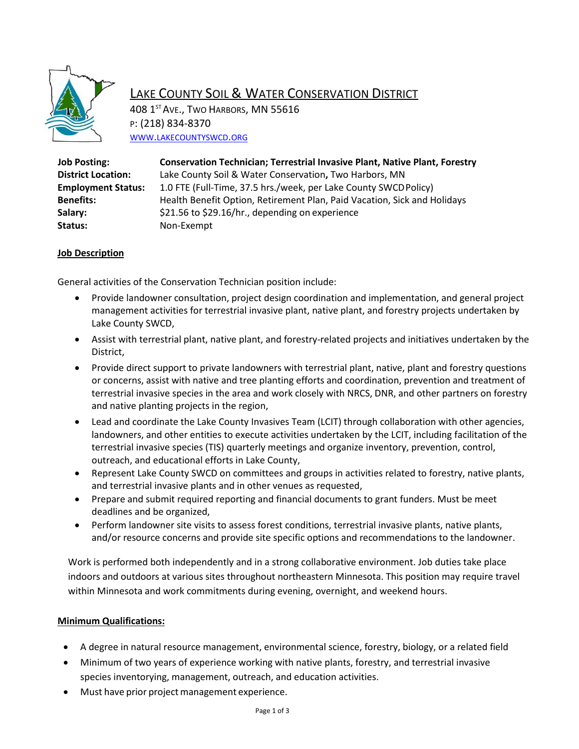

## LAKE COUNTY SOIL & WATER CONSERVATION DISTRICT

408 1<sup>ST</sup> AVE., TWO HARBORS, MN 55616 P: (218) 834-8370 WWW.[LAKECOUNTYSWCD](http://www.lakecountyswcd.org/).ORG

| <b>Job Posting:</b>       | <b>Conservation Technician; Terrestrial Invasive Plant, Native Plant, Forestry</b> |
|---------------------------|------------------------------------------------------------------------------------|
| <b>District Location:</b> | Lake County Soil & Water Conservation, Two Harbors, MN                             |
| <b>Employment Status:</b> | 1.0 FTE (Full-Time, 37.5 hrs./week, per Lake County SWCD Policy)                   |
| <b>Benefits:</b>          | Health Benefit Option, Retirement Plan, Paid Vacation, Sick and Holidays           |
| Salary:                   | \$21.56 to \$29.16/hr., depending on experience                                    |
| Status:                   | Non-Exempt                                                                         |
|                           |                                                                                    |

## **Job Description**

General activities of the Conservation Technician position include:

- Provide landowner consultation, project design coordination and implementation, and general project management activities for terrestrial invasive plant, native plant, and forestry projects undertaken by Lake County SWCD,
- Assist with terrestrial plant, native plant, and forestry-related projects and initiatives undertaken by the District,
- Provide direct support to private landowners with terrestrial plant, native, plant and forestry questions or concerns, assist with native and tree planting efforts and coordination, prevention and treatment of terrestrial invasive species in the area and work closely with NRCS, DNR, and other partners on forestry and native planting projects in the region,
- Lead and coordinate the Lake County Invasives Team (LCIT) through collaboration with other agencies, landowners, and other entities to execute activities undertaken by the LCIT, including facilitation of the terrestrial invasive species (TIS) quarterly meetings and organize inventory, prevention, control, outreach, and educational efforts in Lake County,
- Represent Lake County SWCD on committees and groups in activities related to forestry, native plants, and terrestrial invasive plants and in other venues as requested,
- Prepare and submit required reporting and financial documents to grant funders. Must be meet deadlines and be organized,
- Perform landowner site visits to assess forest conditions, terrestrial invasive plants, native plants, and/or resource concerns and provide site specific options and recommendations to the landowner.

Work is performed both independently and in a strong collaborative environment. Job duties take place indoors and outdoors at various sites throughout northeastern Minnesota. This position may require travel within Minnesota and work commitments during evening, overnight, and weekend hours.

## **Minimum Qualifications:**

- A degree in natural resource management, environmental science, forestry, biology, or a related field
- Minimum of two years of experience working with native plants, forestry, and terrestrial invasive species inventorying, management, outreach, and education activities.
- Must have prior project management experience.